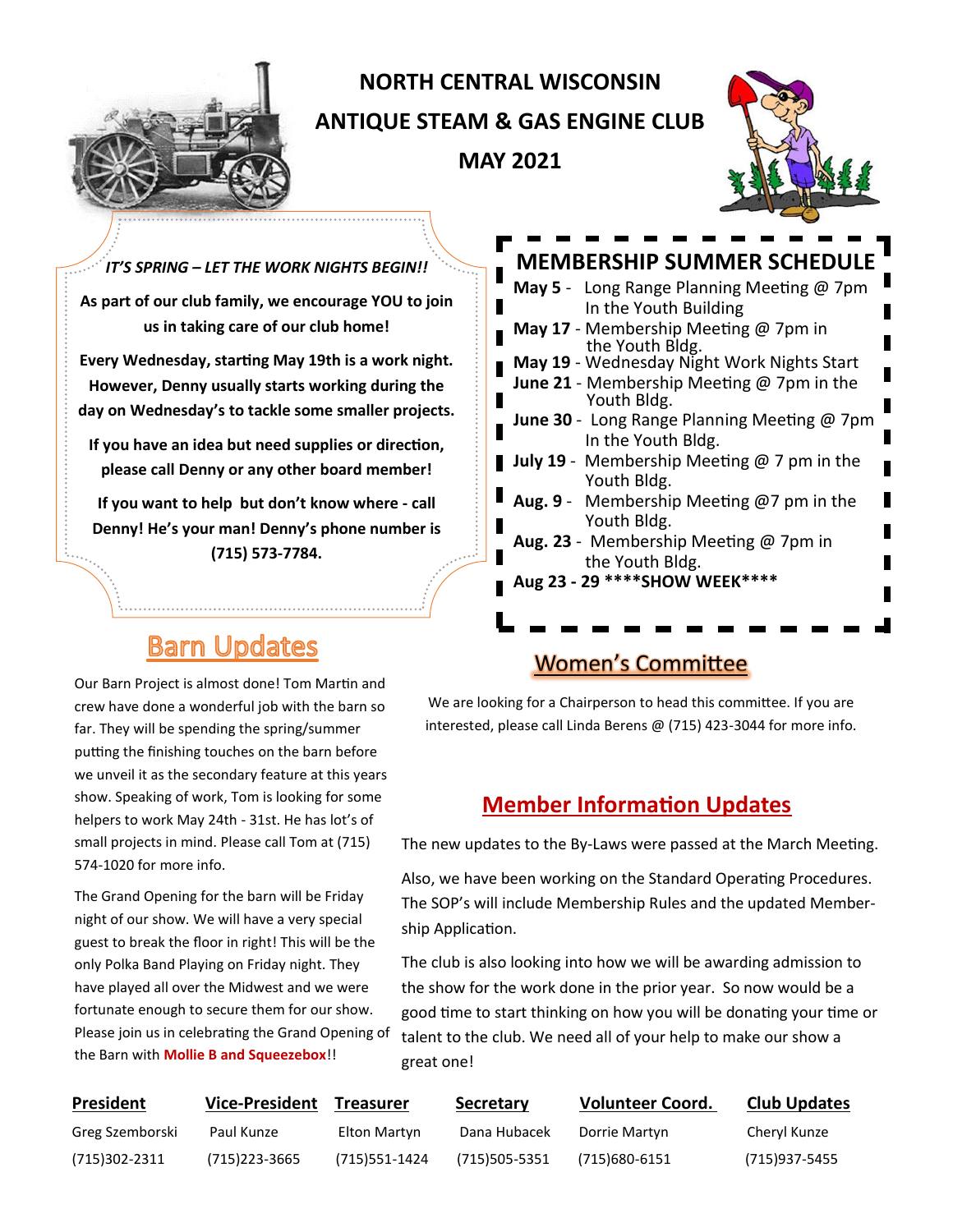

# **NORTH CENTRAL WISCONSIN ANTIQUE STEAM & GAS ENGINE CLUB MAY 2021**



*IT'S SPRING – LET THE WORK NIGHTS BEGIN!!* **As part of our club family, we encourage YOU to join us in taking care of our club home!** 

**Every Wednesday, starting May 19th is a work night. However, Denny usually starts working during the day on Wednesday's to tackle some smaller projects.**

**If you have an idea but need supplies or direction, please call Denny or any other board member!**

**If you want to help but don't know where - call Denny! He's your man! Denny's phone number is (715) 573-7784.**

# **Barn Updates**

Our Barn Project is almost done! Tom Martin and crew have done a wonderful job with the barn so far. They will be spending the spring/summer putting the finishing touches on the barn before we unveil it as the secondary feature at this years show. Speaking of work, Tom is looking for some helpers to work May 24th - 31st. He has lot's of small projects in mind. Please call Tom at (715) 574-1020 for more info.

The Grand Opening for the barn will be Friday night of our show. We will have a very special guest to break the floor in right! This will be the only Polka Band Playing on Friday night. They have played all over the Midwest and we were fortunate enough to secure them for our show. Please join us in celebrating the Grand Opening of the Barn with **Mollie B and Squeezebox**!!

### **MEMBERSHIP SUMMER SCHEDULE**

| May 5 - Long Range Planning Meeting @ 7pm<br>In the Youth Building       |
|--------------------------------------------------------------------------|
| May 17 - Membership Meeting @ 7pm in<br>the Youth Bldg.                  |
| May 19 - Wednesday Night Work Nights Start                               |
| <b>June 21</b> - Membership Meeting $@$ 7pm in the<br>Youth Bldg.        |
| <b>June 30</b> - Long Range Planning Meeting @ 7pm<br>In the Youth Bldg. |
| <b>July 19</b> - Membership Meeting $@$ 7 pm in the<br>Youth Bldg.       |
| Aug. 9 - Membership Meeting @7 pm in the<br>Youth Bldg.                  |
| Aug. 23 - Membership Meeting @ 7pm in<br>the Youth Bldg.                 |
| Aug 23 - 29 **** SHOW WEEK****                                           |
|                                                                          |

## Women's Committee

We are looking for a Chairperson to head this committee. If you are interested, please call Linda Berens @ (715) 423-3044 for more info.

## **Member Information Updates**

The new updates to the By-Laws were passed at the March Meeting.

Also, we have been working on the Standard Operating Procedures. The SOP's will include Membership Rules and the updated Membership Application.

The club is also looking into how we will be awarding admission to the show for the work done in the prior year. So now would be a good time to start thinking on how you will be donating your time or talent to the club. We need all of your help to make our show a great one!

| President       | <b>Vice-President</b> | Treasurer     | Secretary      | <b>Volunteer Coord.</b> | <b>Club Updates</b> |
|-----------------|-----------------------|---------------|----------------|-------------------------|---------------------|
| Greg Szemborski | Paul Kunze            | Elton Martyn  | Dana Hubacek   | Dorrie Martyn           | Cheryl Kunze        |
| (715)302-2311   | (715) 223-3665        | (715)551-1424 | (715) 505-5351 | (715)680-6151           | (715)937-5455       |